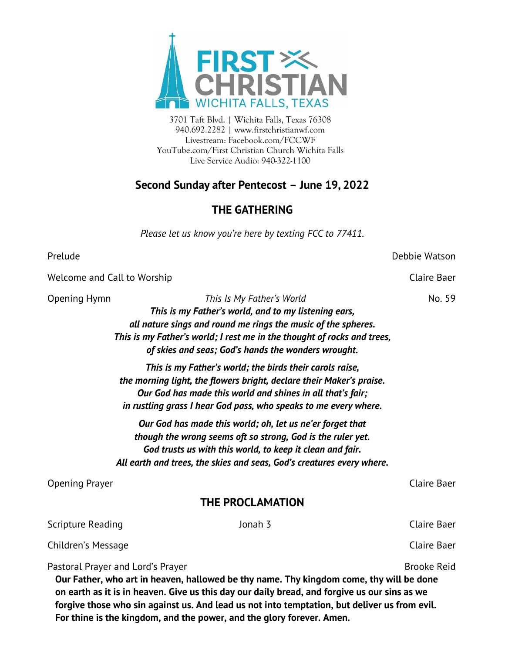

3701 Taft Blvd. | Wichita Falls, Texas 76308 940.692.2282 | www.firstchristianwf.com Livestream: Facebook.com/FCCWF YouTube.com/First Christian Church Wichita Falls Live Service Audio: 940-322-1100

# **Second Sunday after Pentecost – June 19, 2022**

# **THE GATHERING**

*Please let us know you're here by texting FCC to 77411.*

Prelude Debbie Watson

Welcome and Call to Worship Communication Claire Baer Claire Baer

Opening Hymn *This Is My Father's World* No. 59 *This is my Father's world, and to my listening ears, all nature sings and round me rings the music of the spheres. This is my Father's world; I rest me in the thought of rocks and trees, of skies and seas; God's hands the wonders wrought.*

> *This is my Father's world; the birds their carols raise, the morning light, the flowers bright, declare their Maker's praise. Our God has made this world and shines in all that's fair; in rustling grass I hear God pass, who speaks to me every where.*

*Our God has made this world; oh, let us ne'er forget that though the wrong seems oft so strong, God is the ruler yet. God trusts us with this world, to keep it clean and fair. All earth and trees, the skies and seas, God's creatures every where.*

Opening Prayer Claire Baer

## **THE PROCLAMATION**

| Our Father, who art in heaven, hallowed be thy name. Thy kingdom come, thy will be done |         |             |  |  |
|-----------------------------------------------------------------------------------------|---------|-------------|--|--|
| Pastoral Prayer and Lord's Prayer                                                       |         | Brooke Reid |  |  |
| Children's Message                                                                      |         | Claire Baer |  |  |
| Scripture Reading                                                                       | Jonah 3 | Claire Baer |  |  |

**on earth as it is in heaven. Give us this day our daily bread, and forgive us our sins as we forgive those who sin against us. And lead us not into temptation, but deliver us from evil. For thine is the kingdom, and the power, and the glory forever. Amen.**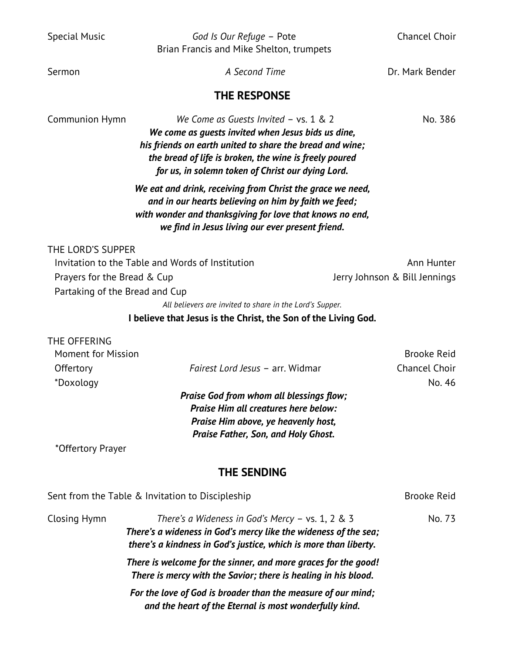| <b>Special Music</b>                                           | God Is Our Refuge - Pote<br>Brian Francis and Mike Shelton, trumpets                                                                                                                                                                                                     | <b>Chancel Choir</b>          |  |
|----------------------------------------------------------------|--------------------------------------------------------------------------------------------------------------------------------------------------------------------------------------------------------------------------------------------------------------------------|-------------------------------|--|
| Sermon                                                         | A Second Time                                                                                                                                                                                                                                                            | Dr. Mark Bender               |  |
|                                                                | <b>THE RESPONSE</b>                                                                                                                                                                                                                                                      |                               |  |
| Communion Hymn                                                 | We Come as Guests Invited $-$ vs. 1 & 2<br>We come as guests invited when Jesus bids us dine,<br>his friends on earth united to share the bread and wine;<br>the bread of life is broken, the wine is freely poured<br>for us, in solemn token of Christ our dying Lord. | No. 386                       |  |
|                                                                | We eat and drink, receiving from Christ the grace we need,<br>and in our hearts believing on him by faith we feed;<br>with wonder and thanksgiving for love that knows no end,<br>we find in Jesus living our ever present friend.                                       |                               |  |
| THE LORD'S SUPPER                                              |                                                                                                                                                                                                                                                                          |                               |  |
| Invitation to the Table and Words of Institution<br>Ann Hunter |                                                                                                                                                                                                                                                                          |                               |  |
| Prayers for the Bread & Cup                                    |                                                                                                                                                                                                                                                                          | Jerry Johnson & Bill Jennings |  |
| Partaking of the Bread and Cup                                 |                                                                                                                                                                                                                                                                          |                               |  |
|                                                                | All believers are invited to share in the Lord's Supper.                                                                                                                                                                                                                 |                               |  |
|                                                                | I believe that Jesus is the Christ, the Son of the Living God.                                                                                                                                                                                                           |                               |  |
| THE OFFERING                                                   |                                                                                                                                                                                                                                                                          |                               |  |
| <b>Moment for Mission</b>                                      |                                                                                                                                                                                                                                                                          | <b>Brooke Reid</b>            |  |
| Offertory                                                      | Fairest Lord Jesus - arr. Widmar                                                                                                                                                                                                                                         | Chancel Choir                 |  |
| *Doxology                                                      |                                                                                                                                                                                                                                                                          | No. 46                        |  |
|                                                                | Praise God from whom all blessings flow;<br>Praise Him all creatures here below:<br>Praise Him above, ye heavenly host,<br><b>Praise Father, Son, and Holy Ghost.</b>                                                                                                    |                               |  |
| *Offertory Prayer                                              |                                                                                                                                                                                                                                                                          |                               |  |
|                                                                | <b>THE SENDING</b>                                                                                                                                                                                                                                                       |                               |  |
|                                                                | Sent from the Table & Invitation to Discipleship                                                                                                                                                                                                                         | <b>Brooke Reid</b>            |  |
| Closing Hymn                                                   | There's a Wideness in God's Mercy $-$ vs. 1, 2 & 3<br>There's a wideness in God's mercy like the wideness of the sea;<br>there's a kindness in God's justice, which is more than liberty.                                                                                | No. 73                        |  |
|                                                                | There is welcome for the sinner, and more graces for the good!<br>There is mercy with the Savior; there is healing in his blood.                                                                                                                                         |                               |  |

*For the love of God is broader than the measure of our mind; and the heart of the Eternal is most wonderfully kind.*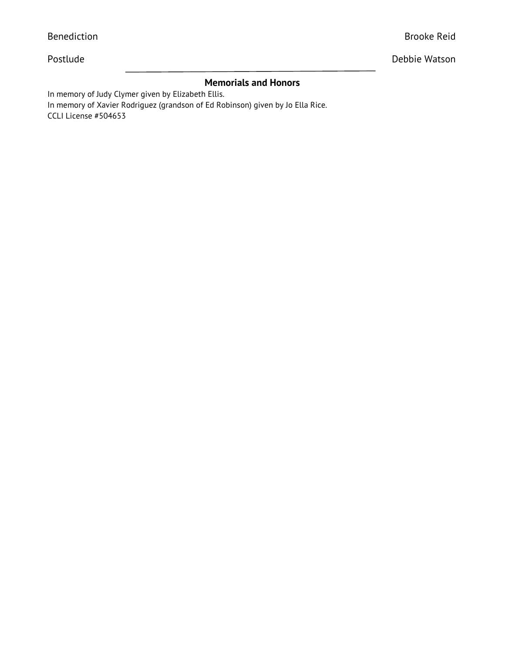| Postlude                                                                                                                                                                                    | Debbie Watson |
|---------------------------------------------------------------------------------------------------------------------------------------------------------------------------------------------|---------------|
| <b>Memorials and Honors</b><br>In memory of Judy Clymer given by Elizabeth Ellis.<br>In memory of Xavier Rodriguez (grandson of Ed Robinson) given by Jo Ella Rice.<br>CCLI License #504653 |               |
|                                                                                                                                                                                             |               |
|                                                                                                                                                                                             |               |
|                                                                                                                                                                                             |               |

Benediction **Brooke Reid**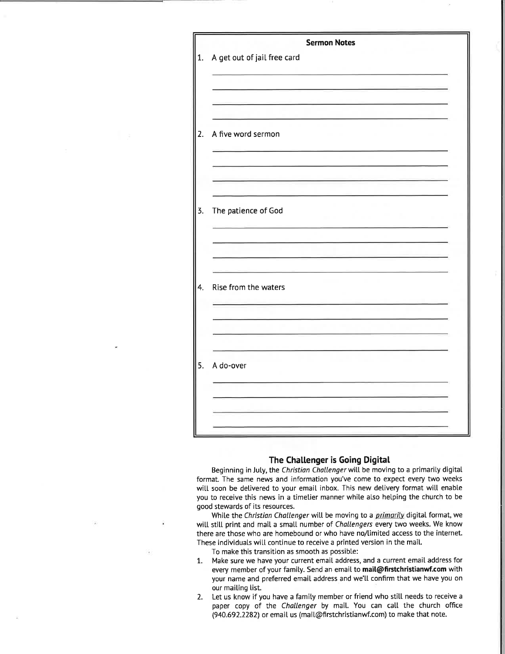| <b>Sermon Notes</b>         |
|-----------------------------|
| A get out of jail free card |
|                             |
|                             |
|                             |
| A five word sermon          |
|                             |
|                             |
|                             |
| The patience of God         |
|                             |
|                             |
|                             |
| Rise from the waters        |
|                             |
|                             |
|                             |
| A do-over                   |
|                             |
|                             |
|                             |

### The Challenger is Going Digital

Beginning in July, the Christian Challenger will be moving to a primarily digital format. The same news and information you've come to expect every two weeks will soon be delivered to your email inbox. This new delivery format will enable you to receive this news in a timelier manner while also helping the church to be good stewards of its resources.

While the Christian Challenger will be moving to a primarily digital format, we will still print and mail a small number of Challengers every two weeks. We know there are those who are homebound or who have no/limited access to the internet. These individuals will continue to receive a printed version in the mail.

To make this transition as smooth as possible:

- $1.$ Make sure we have your current email address, and a current email address for every member of your family. Send an email to mail@firstchristianwf.com with your name and preferred email address and we'll confirm that we have you on our mailing list.
- 2. Let us know if you have a family member or friend who still needs to receive a paper copy of the Challenger by mail. You can call the church office (940.692.2282) or email us (mail@firstchristianwf.com) to make that note.